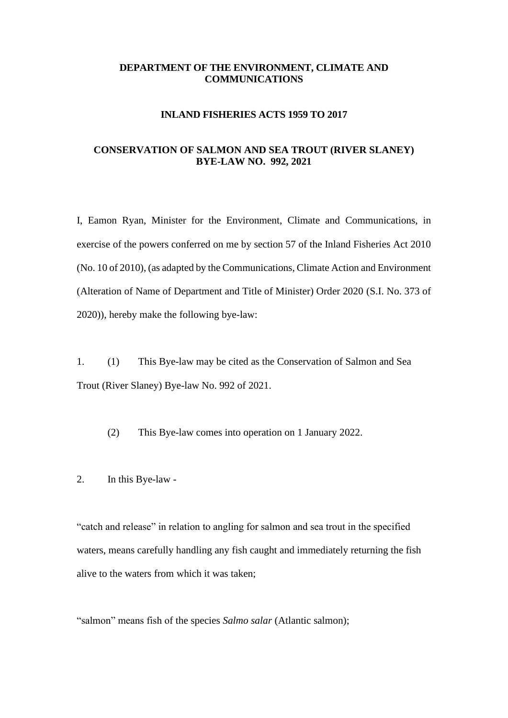### **DEPARTMENT OF THE ENVIRONMENT, CLIMATE AND COMMUNICATIONS**

#### **INLAND FISHERIES ACTS 1959 TO 2017**

# **CONSERVATION OF SALMON AND SEA TROUT (RIVER SLANEY) BYE-LAW NO. 992, 2021**

I, Eamon Ryan, Minister for the Environment, Climate and Communications, in exercise of the powers conferred on me by section 57 of the Inland Fisheries Act 2010 (No. 10 of 2010), (as adapted by the Communications, Climate Action and Environment (Alteration of Name of Department and Title of Minister) Order 2020 (S.I. No. 373 of 2020)), hereby make the following bye-law:

1. (1) This Bye-law may be cited as the Conservation of Salmon and Sea Trout (River Slaney) Bye-law No. 992 of 2021.

(2) This Bye-law comes into operation on 1 January 2022.

2. In this Bye-law -

"catch and release" in relation to angling for salmon and sea trout in the specified waters, means carefully handling any fish caught and immediately returning the fish alive to the waters from which it was taken;

"salmon" means fish of the species *Salmo salar* (Atlantic salmon);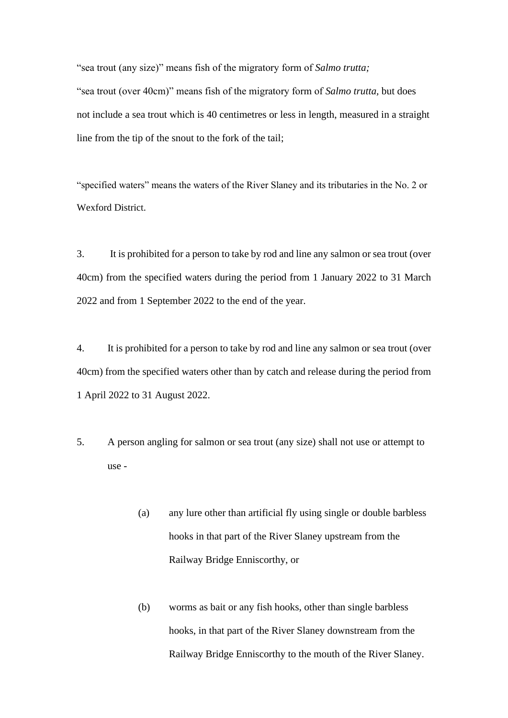"sea trout (any size)" means fish of the migratory form of *Salmo trutta;* "sea trout (over 40cm)" means fish of the migratory form of *Salmo trutta,* but does not include a sea trout which is 40 centimetres or less in length, measured in a straight line from the tip of the snout to the fork of the tail;

"specified waters" means the waters of the River Slaney and its tributaries in the No. 2 or Wexford District.

3. It is prohibited for a person to take by rod and line any salmon or sea trout (over 40cm) from the specified waters during the period from 1 January 2022 to 31 March 2022 and from 1 September 2022 to the end of the year.

4. It is prohibited for a person to take by rod and line any salmon or sea trout (over 40cm) from the specified waters other than by catch and release during the period from 1 April 2022 to 31 August 2022.

- 5. A person angling for salmon or sea trout (any size) shall not use or attempt to use -
	- (a) any lure other than artificial fly using single or double barbless hooks in that part of the River Slaney upstream from the Railway Bridge Enniscorthy, or
	- (b) worms as bait or any fish hooks, other than single barbless hooks, in that part of the River Slaney downstream from the Railway Bridge Enniscorthy to the mouth of the River Slaney.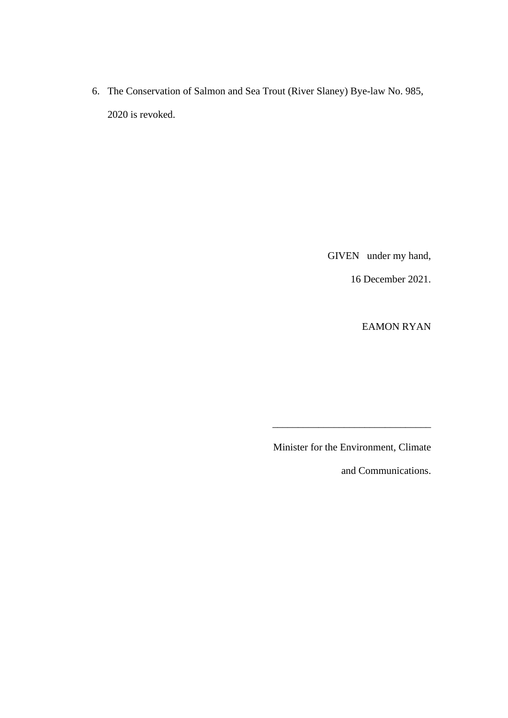6. The Conservation of Salmon and Sea Trout (River Slaney) Bye-law No. 985, 2020 is revoked.

GIVEN under my hand,

16 December 2021.

EAMON RYAN

Minister for the Environment, Climate

\_\_\_\_\_\_\_\_\_\_\_\_\_\_\_\_\_\_\_\_\_\_\_\_\_\_\_\_\_\_\_

and Communications.